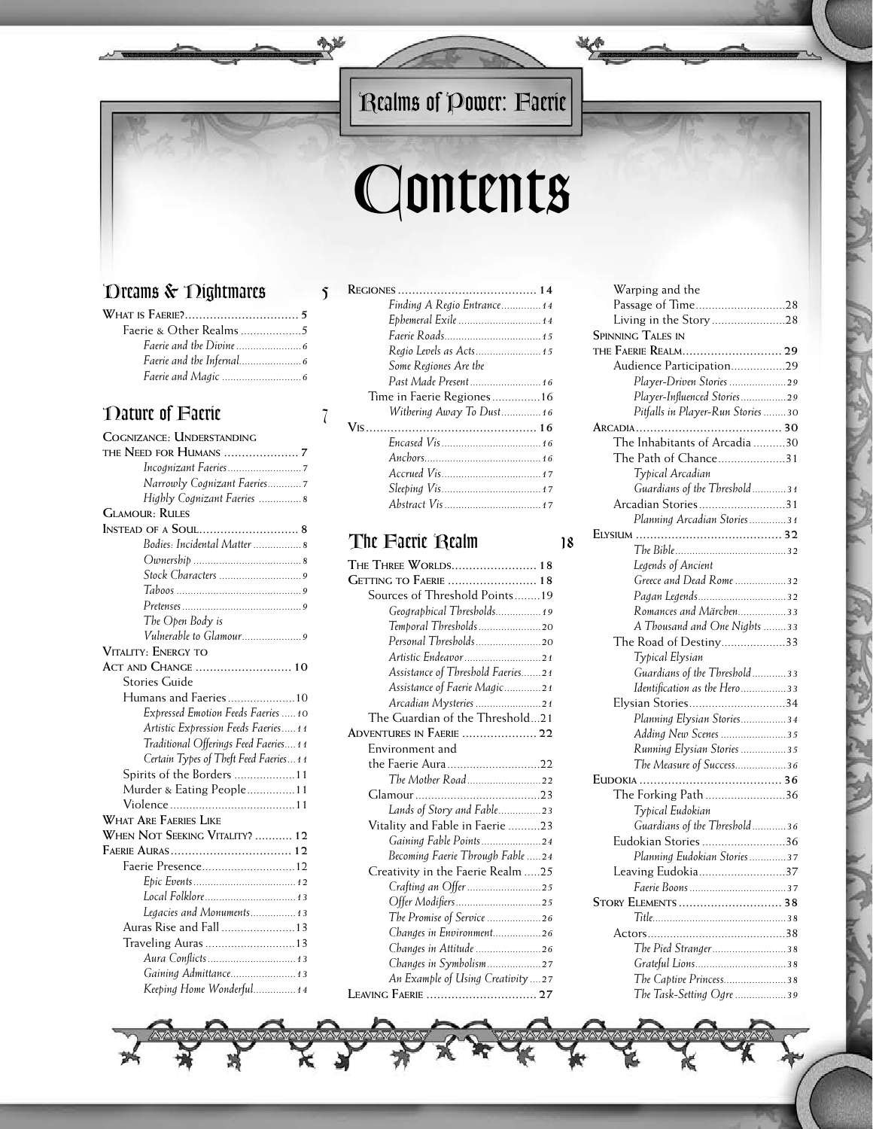**MyS** 

# *Contents*

## *Dreams & Nightmares 5*

| <i>Faerie and the Infernal</i> |  |
|--------------------------------|--|
|                                |  |

## *Nature of Faerie 7*

| COGNIZANCE: UNDERSTANDING              |
|----------------------------------------|
|                                        |
|                                        |
| Narrowly Cognizant Faeries7            |
| Highly Cognizant Faeries  8            |
| <b>GLAMOUR: RULES</b>                  |
|                                        |
| Bodies: Incidental Matter  8           |
|                                        |
|                                        |
|                                        |
|                                        |
| The Open Body is                       |
| Vulnerable to Glamour9                 |
| Vitality: Energy to                    |
| ACT AND CHANGE  10                     |
| <b>Stories Guide</b>                   |
| Humans and Faeries10                   |
| Expressed Emotion Feeds Faeries  10    |
| Artistic Expression Feeds Faeries11    |
| Traditional Offerings Feed Faeries 11  |
| Certain Types of Theft Feed Faeries 11 |
| Spirits of the Borders 11              |
| Murder & Eating People11               |
|                                        |
| <b>WHAT ARE FAERIES LIKE</b>           |
| WHEN NOT SEEKING VITALITY?  12         |
|                                        |
| Faerie Presence12                      |
|                                        |
| Local Folklore 13                      |
| Legacies and Monuments 13              |
| Auras Rise and Fall13                  |
| Traveling Auras 13                     |
|                                        |
| Gaining Admittance 13                  |
| Keeping Home Wonderful 14              |

| Finding A Regio Entrance 14 |
|-----------------------------|
| Ephemeral Exile  14         |
| Faerie Roads 15             |
| Regio Levels as Acts 15     |
| Some Regiones Are the       |
| Past Made Present 16        |
| Time in Faerie Regiones16   |
| Withering Away To Dust16    |
|                             |
|                             |
|                             |
|                             |
|                             |
|                             |

#### *The Faerie Realm 18*

| THE THREE WORLDS 18               |
|-----------------------------------|
| <b>GETTING TO FAERIE  18</b>      |
| Sources of Threshold Points19     |
| Geographical Thresholds 19        |
| Temporal Thresholds20             |
| Personal Thresholds20             |
| Artistic Endeavor21               |
| Assistance of Threshold Faeries21 |
| Assistance of Faerie Magic21      |
| Arcadian Mysteries 21             |
| The Guardian of the Threshold21   |
| Adventures in Faerie  22          |
| Environment and                   |
| the Faerie Aura22                 |
| The Mother Road22                 |
|                                   |
| Lands of Story and Fable23        |
| Vitality and Fable in Faerie 23   |
| Gaining Fable Points 24           |
| Becoming Faerie Through Fable 24  |
| Creativity in the Faerie Realm 25 |
| Crafting an Offer 25              |
|                                   |
| The Promise of Service 26         |
| Changes in Environment26          |
| Changes in Attitude 26            |
| Changes in Symbolism27            |
| An Example of Using Creativity 27 |
|                                   |
|                                   |

| Warping and the                   |  |
|-----------------------------------|--|
| Passage of Time28                 |  |
| Living in the Story28             |  |
| <b>SPINNING TALES IN</b>          |  |
|                                   |  |
| Audience Participation29          |  |
| Player-Driven Stories 29          |  |
| Player-Influenced Stories29       |  |
| Pitfalls in Player-Run Stories 30 |  |
|                                   |  |
| The Inhabitants of Arcadia 30     |  |
| The Path of Chance31              |  |
| Typical Arcadian                  |  |
| Guardians of the Threshold31      |  |
| Arcadian Stories31                |  |
| Planning Arcadian Stories31       |  |
|                                   |  |
|                                   |  |
|                                   |  |
| Legends of Ancient                |  |
| Greece and Dead Rome 32           |  |
| Pagan Legends32                   |  |
| Romances and Märchen33            |  |
| A Thousand and One Nights 33      |  |
| The Road of Destiny33             |  |
| Typical Elysian                   |  |
| Guardians of the Threshold33      |  |
| Identification as the Hero33      |  |
| Elysian Stories34                 |  |
| Planning Elysian Stories34        |  |
| Adding New Scenes 35              |  |
| Running Elysian Stories 35        |  |
| The Measure of Success36          |  |
|                                   |  |
| The Forking Path 36               |  |
| Typical Eudokian                  |  |
| Guardians of the Threshold36      |  |
| Eudokian Stories 36               |  |
| Planning Eudokian Stories37       |  |
| Leaving Eudokia37                 |  |
|                                   |  |
| <b>STORY ELEMENTS</b> 38          |  |
|                                   |  |
|                                   |  |
|                                   |  |
| The Pied Stranger38               |  |
|                                   |  |
| The Captive Princess38            |  |
| The Task-Setting Ogre 39          |  |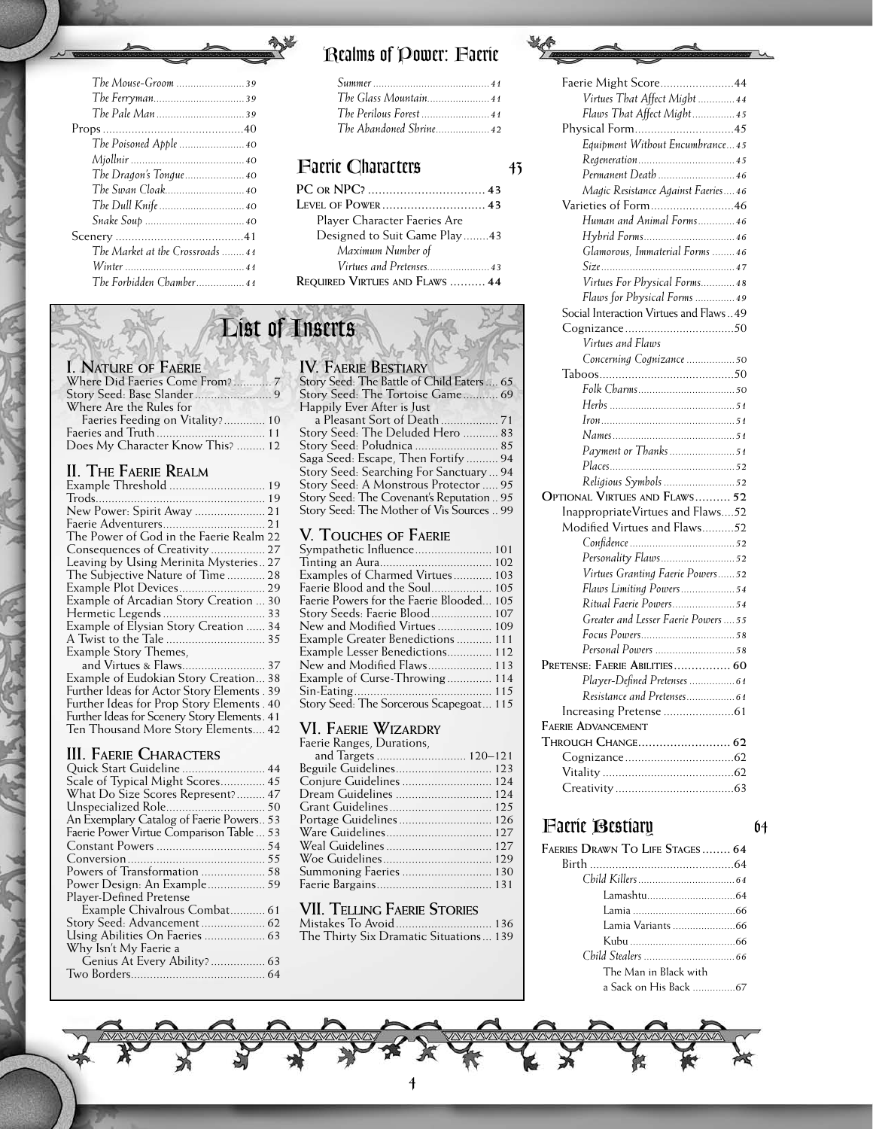| The Glass Mountain41 |
|----------------------|
|                      |
|                      |

#### *Faerie Characters 43*

| Player Character Faeries Are   |
|--------------------------------|
| Designed to Suit Game Play43   |
| Maximum Number of              |
| Virtues and Pretenses 43       |
| REQUIRED VIRTUES AND FLAWS  44 |

## *List of Inserts*

| I. NATURE OF FAERIE              |  |
|----------------------------------|--|
| Where Did Faeries Come From?7    |  |
|                                  |  |
| Where Are the Rules for          |  |
| Faeries Feeding on Vitality? 10  |  |
|                                  |  |
| Does My Character Know This?  12 |  |

#### **II. The Faerie Realm**

| Example Threshold  19                       |  |
|---------------------------------------------|--|
|                                             |  |
| New Power: Spirit Away  21                  |  |
|                                             |  |
| The Power of God in the Faerie Realm 22     |  |
|                                             |  |
| Leaving by Using Merinita Mysteries 27      |  |
| The Subjective Nature of Time 28            |  |
|                                             |  |
| Example of Arcadian Story Creation  30      |  |
| Hermetic Legends  33                        |  |
| Example of Elysian Story Creation  34       |  |
| A Twist to the Tale  35                     |  |
| Example Story Themes.                       |  |
|                                             |  |
| Example of Eudokian Story Creation 38       |  |
| Further Ideas for Actor Story Elements . 39 |  |
|                                             |  |

Further Ideas for Prop Story Elements . 40 Further Ideas for Scenery Story Elements. 41 Ten Thousand More Story Elements.... 42

#### **III. Faerie Characters**

#### **IV. FAEDIE RESTIA**

| IV. I ALNIL DLJIRINI                                 |
|------------------------------------------------------|
| Story Seed: The Battle of Child Eaters  65           |
| Story Seed: The Tortoise Game 69                     |
| Happily Ever After is Just                           |
|                                                      |
| Story Seed: The Deluded Hero  83                     |
| Story Seed: Południca  85                            |
| Saga Seed: Escape, Then Fortify  94                  |
| Story Seed: Searching For Sanctuary  94              |
| Story Seed: A Monstrous Protector  95                |
| Story Seed: The Covenant's Reputation  95            |
| Story Seed: The Mother of Vis Sources  99            |
|                                                      |
| V. TOUCHES OF FAERIE                                 |
| Sympathetic Influence 101                            |
|                                                      |
| $\Gamma = \tilde{1} + \Gamma C1 = \Gamma V U$<br>102 |

| Examples of Charmed Virtues 103          |  |
|------------------------------------------|--|
|                                          |  |
| Faerie Powers for the Faerie Blooded 105 |  |
| Story Seeds: Faerie Blood 107            |  |
| New and Modified Virtues 109             |  |
| Example Greater Benedictions 111         |  |
| Example Lesser Benedictions 112          |  |
| New and Modified Flaws 113               |  |
| Example of Curse-Throwing 114            |  |
|                                          |  |
| Story Seed: The Sorcerous Scapegoat 115  |  |

#### **VI. Faerie Wizardry**

| Faerie Ranges, Durations, |  |
|---------------------------|--|
| and Targets  120-121      |  |
| Beguile Guidelines 123    |  |
| Conjure Guidelines  124   |  |
| Dream Guidelines  124     |  |
| Grant Guidelines 125      |  |
| Portage Guidelines 126    |  |
| Ware Guidelines 127       |  |
|                           |  |
|                           |  |
| Summoning Faeries  130    |  |
|                           |  |
|                           |  |

#### **VII. Telling Faerie Stories**

| The Thirty Six Dramatic Situations 139 |  |
|----------------------------------------|--|

#### Faerie Might Score.......................44 *Virtues That Affect Might .............44 Flaws That Affect Might...............45* Physical Form...............................45 *Equipment Without Encumbrance...45 Regeneration..................................45 Permanent Death ...........................46 Magic Resistance Against Faeries....46* Varieties of Form..........................46 *Human and Animal Forms.............46 Hybrid Forms................................46 Glamorous, Immaterial Forms ........46 Size...............................................47 Virtues For Physical Forms............48 Flaws for Physical Forms ..............49* Social Interaction Virtues and Flaws..49 Cognizance..................................50 *Virtues and Flaws Concerning Cognizance .................50* Taboos..........................................50 *Folk Charms..................................50 Herbs ............................................51*

| Payment or Thanks51                   |
|---------------------------------------|
|                                       |
| Religious Symbols 52                  |
| OPTIONAL VIRTUES AND FLAWS 52         |
| InappropriateVirtues and Flaws52      |
| Modified Virtues and Flaws52          |
|                                       |
| Personality Flaws52                   |
| Virtues Granting Faerie Powers52      |
| Flaws Limiting Powers54               |
| Ritual Faerie Powers54                |
| Greater and Lesser Faerie Powers ….55 |
|                                       |
| Personal Powers 58                    |
| Pretense: Faerie Abilities 60         |
| Player-Defined Pretenses  61          |
|                                       |
|                                       |
| <b>FAERIE ADVANCEMENT</b>             |
| Through Change 62                     |
|                                       |
|                                       |
|                                       |

#### *Faerie Bestiary 64*

| FAERIES DRAWN TO LIFE STAGES  64 |  |
|----------------------------------|--|
|                                  |  |
|                                  |  |
|                                  |  |
|                                  |  |
|                                  |  |
|                                  |  |
|                                  |  |
| The Man in Black with            |  |
| a Sack on His Back 67            |  |

 $\overline{\mathcal{A}}$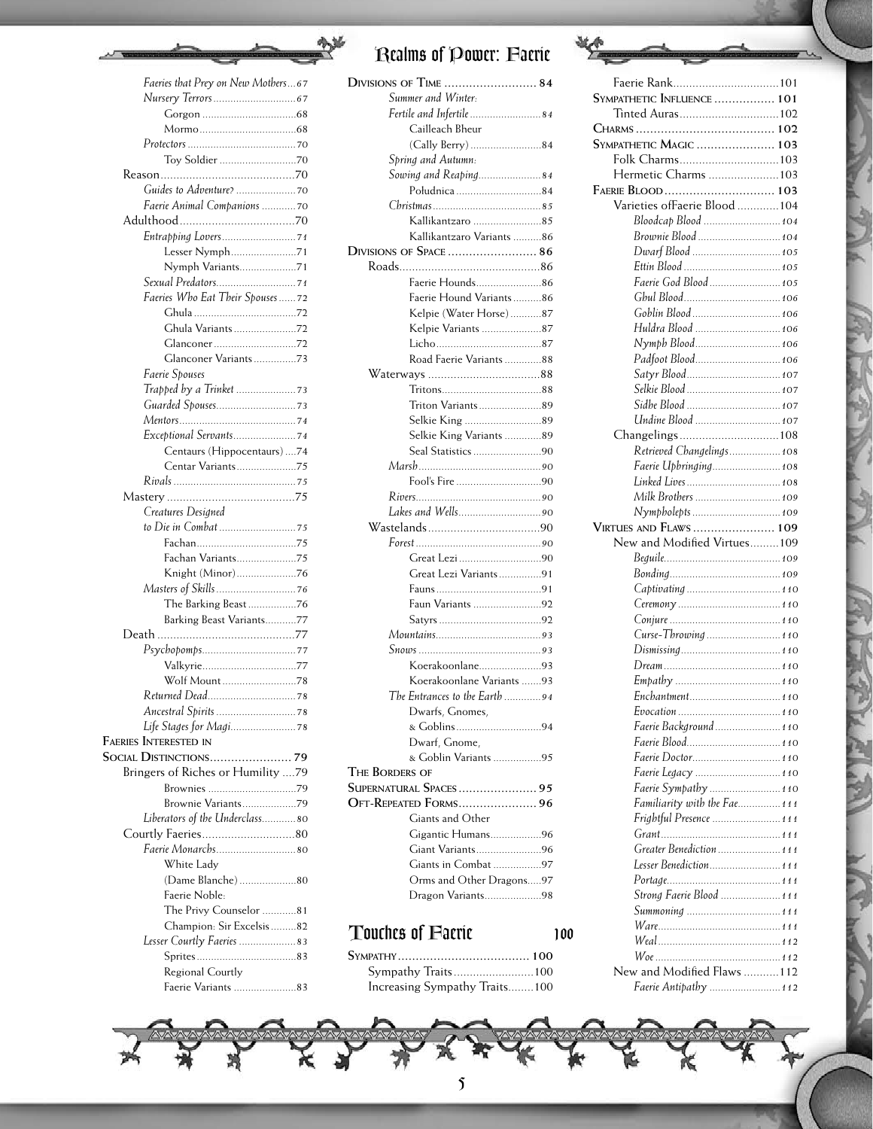

| Faeries that Prey on New Mothers67 |
|------------------------------------|
|                                    |
|                                    |
|                                    |
|                                    |
|                                    |
|                                    |
|                                    |
| Faerie Animal Companions           |
|                                    |
|                                    |
| Lesser Nymph71                     |
| Nymph Variants71                   |
|                                    |
| Faeries Who Eat Their Spouses72    |
|                                    |
| Ghula Variants 72                  |
|                                    |
| Glanconer Variants 73              |
| Faerie Spouses                     |
|                                    |
|                                    |
|                                    |
|                                    |
| Centaurs (Hippocentaurs) 74        |
|                                    |
|                                    |
| Creatures Designed                 |
|                                    |
|                                    |
| Fachan Variants75                  |
| Knight (Minor)76                   |
|                                    |
| The Barking Beast 76               |
| Barking Beast Variants77           |
|                                    |
|                                    |
| Valkyrie77                         |
| Wolf Mount78                       |
|                                    |
|                                    |
|                                    |
| <b>FAERIES INTERESTED IN</b>       |
|                                    |
| Bringers of Riches or Humility 79  |
| Brownies 79                        |
| Brownie Variants79                 |
| Liberators of the Underclass80     |
|                                    |
| Faerie Monarchs80                  |
| White Ladv                         |
| (Dame Blanche) 80                  |
| Faerie Noble:                      |
| The Privy Counselor 81             |
| Champion: Sir Excelsis 82          |
| Lesser Courtly Faeries  83         |
|                                    |
| Regional Courtly                   |
| Faerie Variants 83                 |

美

| <b>DIVISIONS OF TIME  84</b>                  |
|-----------------------------------------------|
| Summer and Winter:                            |
| Fertile and Infertile 84                      |
| Cailleach Bheur                               |
| (Cally Berry) 84                              |
| Spring and Autumn:                            |
| Sowing and Reaping84                          |
| Południca 84                                  |
|                                               |
| Kallikantzaro 85                              |
| Kallikantzaro Variants 86                     |
| DIVISIONS OF SPACE  86                        |
|                                               |
| Faerie Hounds86                               |
| Faerie Hound Variants86                       |
| Kelpie (Water Horse)87                        |
| Kelpie Variants 87                            |
|                                               |
| Road Faerie Variants 88                       |
|                                               |
|                                               |
|                                               |
| Triton Variants89                             |
| Selkie King 89                                |
| Selkie King Variants 89                       |
| Seal Statistics 90                            |
|                                               |
|                                               |
|                                               |
|                                               |
|                                               |
|                                               |
|                                               |
| Great Lezi 90                                 |
| Great Lezi Variants91                         |
|                                               |
| Faun Variants 92                              |
|                                               |
|                                               |
|                                               |
| Koerakoonlane93                               |
| Koerakoonlane Variants 93                     |
| The Entrances to the Earth 94                 |
|                                               |
| Dwarfs, Gnomes,                               |
| & Goblins94                                   |
| Dwarf, Gnome,                                 |
| & Goblin Variants 95                          |
| THE BORDERS OF                                |
| SUPERNATURAL SPACES 95                        |
| <b>OFT-REPEATED FORMS 96</b>                  |
| Giants and Other                              |
| Gigantic Humans96                             |
| Giant Variants96                              |
| Giants in Combat 97                           |
| Orms and Other Dragons97<br>Dragon Variants98 |

| Touches of Facric             | 100 |
|-------------------------------|-----|
|                               |     |
| Sympathy Traits100            |     |
| Increasing Sympathy Traits100 |     |

| Faerie Rank101                |  |
|-------------------------------|--|
| SYMPATHETIC INFLUENCE  101    |  |
| Tinted Auras102               |  |
|                               |  |
|                               |  |
| <b>SYMPATHETIC MAGIC  103</b> |  |
| Folk Charms103                |  |
| Hermetic Charms 103           |  |
| FAERIE BLOOD  103             |  |
| Varieties ofFaerie Blood  104 |  |
| Bloodcap Blood  104           |  |
| Brownie Blood  104            |  |
| Dwarf Blood  105              |  |
|                               |  |
|                               |  |
| Faerie God Blood  105         |  |
|                               |  |
| Goblin Blood  106             |  |
| Huldra Blood  106             |  |
| Nymph Blood106                |  |
| Padfoot Blood 106             |  |
| Satyr Blood 107               |  |
| Selkie Blood  107             |  |
| Sidhe Blood  107              |  |
|                               |  |
| Undine Blood  107             |  |
| Changelings108                |  |
| Retrieved Changelings 108     |  |
| Faerie Upbringing 108         |  |
| Linked Lives  108             |  |
| Milk Brothers  109            |  |
| Nympholepts  109              |  |
|                               |  |
|                               |  |
| VIRTUES AND FLAWS  109        |  |
| New and Modified Virtues109   |  |
|                               |  |
|                               |  |
|                               |  |
|                               |  |
|                               |  |
|                               |  |
|                               |  |
|                               |  |
|                               |  |
|                               |  |
| Enchantment 110               |  |
|                               |  |
| Faerie Background 110         |  |
| Faerie Blood 110              |  |
| Faerie Doctor 110             |  |
| Faerie Legacy  110            |  |
| Faerie Sympathy  110          |  |
| Familiarity with the Fae 111  |  |
|                               |  |
| Frightful Presence  111       |  |
|                               |  |
| Greater Benediction  111      |  |
| Lesser Benediction 111        |  |
|                               |  |
| Strong Faerie Blood  111      |  |
| Summoning  111                |  |
|                               |  |
|                               |  |
| New and Modified Flaws  112   |  |

*Faerie Antipathy .........................112*

 $\mathfrak{z}$